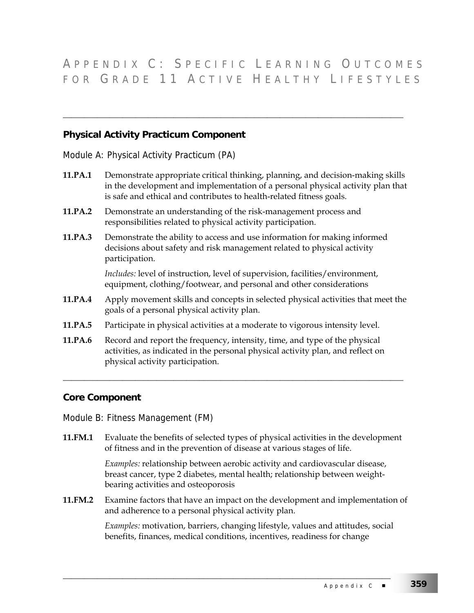## A PPENDIX C : S PECIFIC L EARNING O UTCOMES FOR GRADE 11 ACTIVE HEALTHY LIFESTYLES

## **Physical Activity Practicum Component**

Module A: Physical Activity Practicum (PA)

**11.PA.1** Demonstrate appropriate critical thinking, planning, and decision-making skills in the development and implementation of a personal physical activity plan that is safe and ethical and contributes to health-related fitness goals.

\_\_\_\_\_\_\_\_\_\_\_\_\_\_\_\_\_\_\_\_\_\_\_\_\_\_\_\_\_\_\_\_\_\_\_\_\_\_\_\_\_\_\_\_\_\_\_\_\_\_\_\_\_\_\_\_\_\_\_\_\_\_\_\_\_\_\_\_\_\_\_\_\_\_\_\_\_\_\_\_

- **11.PA.2** Demonstrate an understanding of the risk-management process and responsibilities related to physical activity participation.
- **11.PA.3** Demonstrate the ability to access and use information for making informed decisions about safety and risk management related to physical activity participation.

*Includes:* level of instruction, level of supervision, facilities/environment, equipment, clothing/footwear, and personal and other considerations

- **11.PA.4** Apply movement skills and concepts in selected physical activities that meet the goals of a personal physical activity plan.
- **11.PA.5** Participate in physical activities at a moderate to vigorous intensity level.
- **11.PA.6** Record and report the frequency, intensity, time, and type of the physical activities, as indicated in the personal physical activity plan, and reflect on physical activity participation.

## **Core Component**

Module B: Fitness Management (FM)

**11.FM.1** Evaluate the benefits of selected types of physical activities in the development of fitness and in the prevention of disease at various stages of life.

\_\_\_\_\_\_\_\_\_\_\_\_\_\_\_\_\_\_\_\_\_\_\_\_\_\_\_\_\_\_\_\_\_\_\_\_\_\_\_\_\_\_\_\_\_\_\_\_\_\_\_\_\_\_\_\_\_\_\_\_\_\_\_\_\_\_\_\_\_\_\_\_\_\_\_\_\_\_\_\_

*Examples:* relationship between aerobic activity and cardiovascular disease, breast cancer, type 2 diabetes, mental health; relationship between weightbearing activities and osteoporosis

**11.FM.2** Examine factors that have an impact on the development and implementation of and adherence to a personal physical activity plan.

\_\_\_\_\_\_\_\_\_\_\_\_\_\_\_\_\_\_\_\_\_\_\_\_\_\_\_\_\_\_\_\_\_\_\_\_\_\_\_\_\_\_\_\_\_\_\_\_\_\_\_\_\_\_\_\_\_\_\_\_\_\_\_\_\_\_\_\_\_\_\_\_\_\_\_\_\_

*Examples:* motivation, barriers, changing lifestyle, values and attitudes, social benefits, finances, medical conditions, incentives, readiness for change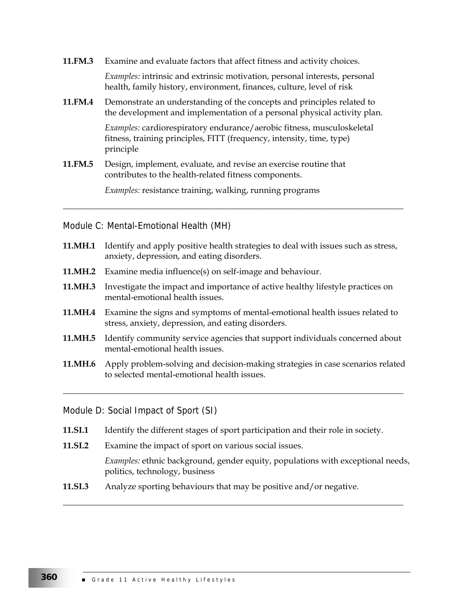| 11.FM.3 | Examine and evaluate factors that affect fitness and activity choices.                                                                                              |
|---------|---------------------------------------------------------------------------------------------------------------------------------------------------------------------|
|         | <i>Examples:</i> intrinsic and extrinsic motivation, personal interests, personal<br>health, family history, environment, finances, culture, level of risk          |
| 11.FM.4 | Demonstrate an understanding of the concepts and principles related to<br>the development and implementation of a personal physical activity plan.                  |
|         | <i>Examples:</i> cardiorespiratory endurance/aerobic fitness, musculoskeletal<br>fitness, training principles, FITT (frequency, intensity, time, type)<br>principle |
| 11.FM.5 | Design, implement, evaluate, and revise an exercise routine that<br>contributes to the health-related fitness components.                                           |
|         | Examples: resistance training, walking, running programs                                                                                                            |

Module C: Mental-Emotional Health (MH)

| <b>11.MH.1</b> Identify and apply positive health strategies to deal with issues such as stress, |
|--------------------------------------------------------------------------------------------------|
| anxiety, depression, and eating disorders.                                                       |

\_\_\_\_\_\_\_\_\_\_\_\_\_\_\_\_\_\_\_\_\_\_\_\_\_\_\_\_\_\_\_\_\_\_\_\_\_\_\_\_\_\_\_\_\_\_\_\_\_\_\_\_\_\_\_\_\_\_\_\_\_\_\_\_\_\_\_\_\_\_\_\_\_\_\_\_\_\_\_\_

- **11.MH.2** Examine media influence(s) on self-image and behaviour.
- **11.MH.3** Investigate the impact and importance of active healthy lifestyle practices on mental-emotional health issues.
- **11.MH.4** Examine the signs and symptoms of mental-emotional health issues related to stress, anxiety, depression, and eating disorders.
- **11.MH.5** Identify community service agencies that support individuals concerned about mental-emotional health issues.
- **11.MH.6** Apply problem-solving and decision-making strategies in case scenarios related to selected mental-emotional health issues.

\_\_\_\_\_\_\_\_\_\_\_\_\_\_\_\_\_\_\_\_\_\_\_\_\_\_\_\_\_\_\_\_\_\_\_\_\_\_\_\_\_\_\_\_\_\_\_\_\_\_\_\_\_\_\_\_\_\_\_\_\_\_\_\_\_\_\_\_\_\_\_\_\_\_\_\_\_\_\_\_

\_\_\_\_\_\_\_\_\_\_\_\_\_\_\_\_\_\_\_\_\_\_\_\_\_\_\_\_\_\_\_\_\_\_\_\_\_\_\_\_\_\_\_\_\_\_\_\_\_\_\_\_\_\_\_\_\_\_\_\_\_\_\_\_\_\_\_\_\_\_\_\_\_\_\_\_\_\_\_\_

Module D: Social Impact of Sport (SI)

- **11.SI.1** Identify the different stages of sport participation and their role in society.
- **11.SI.2** Examine the impact of sport on various social issues.

 *Examples:* ethnic background, gender equity, populations with exceptional needs, politics, technology, business

\_\_\_\_\_\_\_\_\_\_\_\_\_\_\_\_\_\_\_\_\_\_\_\_\_\_\_\_\_\_\_\_\_\_\_\_\_\_\_\_\_\_\_\_\_\_\_\_\_\_\_\_\_\_\_\_\_\_\_\_\_\_\_\_\_\_\_\_\_\_\_\_\_\_\_\_\_

**11.SI.3** Analyze sporting behaviours that may be positive and/or negative.